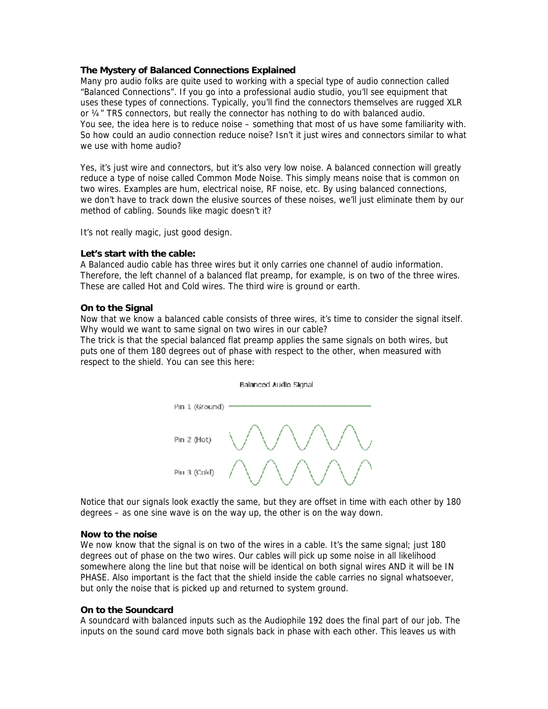# **The Mystery of Balanced Connections Explained**

Many pro audio folks are quite used to working with a special type of audio connection called "Balanced Connections". If you go into a professional audio studio, you'll see equipment that uses these types of connections. Typically, you'll find the connectors themselves are rugged XLR or  $\frac{1}{4}$  TRS connectors, but really the connector has nothing to do with balanced audio. You see, the idea here is to reduce noise – something that most of us have some familiarity with. So how could an audio connection reduce noise? Isn't it just wires and connectors similar to what we use with home audio?

Yes, it's just wire and connectors, but it's also very low noise. A balanced connection will greatly reduce a type of noise called Common Mode Noise. This simply means noise that is common on two wires. Examples are hum, electrical noise, RF noise, etc. By using balanced connections, we don't have to track down the elusive sources of these noises, we'll just eliminate them by our method of cabling. Sounds like magic doesn't it?

It's not really magic, just good design.

## **Let's start with the cable:**

A Balanced audio cable has three wires but it only carries one channel of audio information. Therefore, the left channel of a balanced flat preamp, for example, is on two of the three wires. These are called Hot and Cold wires. The third wire is ground or earth.

## **On to the Signal**

Now that we know a balanced cable consists of three wires, it's time to consider the signal itself. Why would we want to same signal on two wires in our cable?

The trick is that the special balanced flat preamp applies the same signals on both wires, but puts one of them 180 degrees out of phase with respect to the other, when measured with respect to the shield. You can see this here:





Notice that our signals look exactly the same, but they are offset in time with each other by 180 degrees – as one sine wave is on the way up, the other is on the way down.

#### **Now to the noise**

We now know that the signal is on two of the wires in a cable. It's the same signal; just 180 degrees out of phase on the two wires. Our cables will pick up some noise in all likelihood somewhere along the line but that noise will be identical on both signal wires AND it will be IN PHASE. Also important is the fact that the shield inside the cable carries no signal whatsoever, but only the noise that is picked up and returned to system ground.

#### **On to the Soundcard**

A soundcard with balanced inputs such as the Audiophile 192 does the final part of our job. The inputs on the sound card move both signals back in phase with each other. This leaves us with